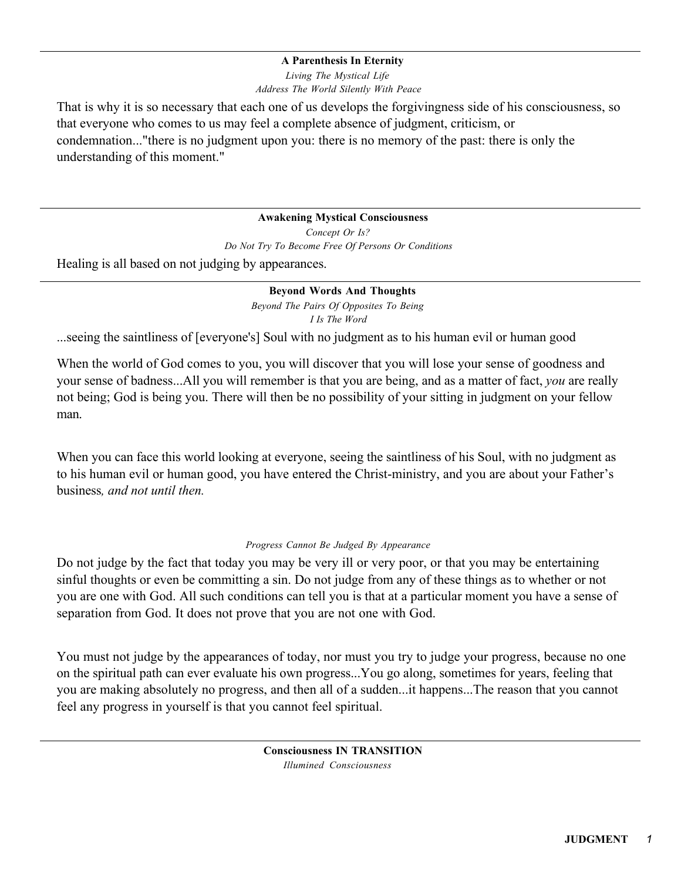## **A Parenthesis In Eternity**

*Living The Mystical Life Address The World Silently With Peace*

That is why it is so necessary that each one of us develops the forgivingness side of his consciousness, so that everyone who comes to us may feel a complete absence of judgment, criticism, or condemnation..."there is no judgment upon you: there is no memory of the past: there is only the understanding of this moment."

**Awakening Mystical Consciousness**

*Concept Or Is? Do Not Try To Become Free Of Persons Or Conditions* Healing is all based on not judging by appearances.

**Beyond Words And Thoughts**

*Beyond The Pairs Of Opposites To Being I Is The Word*

...seeing the saintliness of [everyone's] Soul with no judgment as to his human evil or human good

When the world of God comes to you, you will discover that you will lose your sense of goodness and your sense of badness...All you will remember is that you are being, and as a matter of fact, *you* are really not being; God is being you. There will then be no possibility of your sitting in judgment on your fellow man.

When you can face this world looking at everyone, seeing the saintliness of his Soul, with no judgment as to his human evil or human good, you have entered the Christ-ministry, and you are about your Father's business*, and not until then.*

## *Progress Cannot Be Judged By Appearance*

Do not judge by the fact that today you may be very ill or very poor, or that you may be entertaining sinful thoughts or even be committing a sin. Do not judge from any of these things as to whether or not you are one with God. All such conditions can tell you is that at a particular moment you have a sense of separation from God. It does not prove that you are not one with God.

You must not judge by the appearances of today, nor must you try to judge your progress, because no one on the spiritual path can ever evaluate his own progress...You go along, sometimes for years, feeling that you are making absolutely no progress, and then all of a sudden...it happens...The reason that you cannot feel any progress in yourself is that you cannot feel spiritual.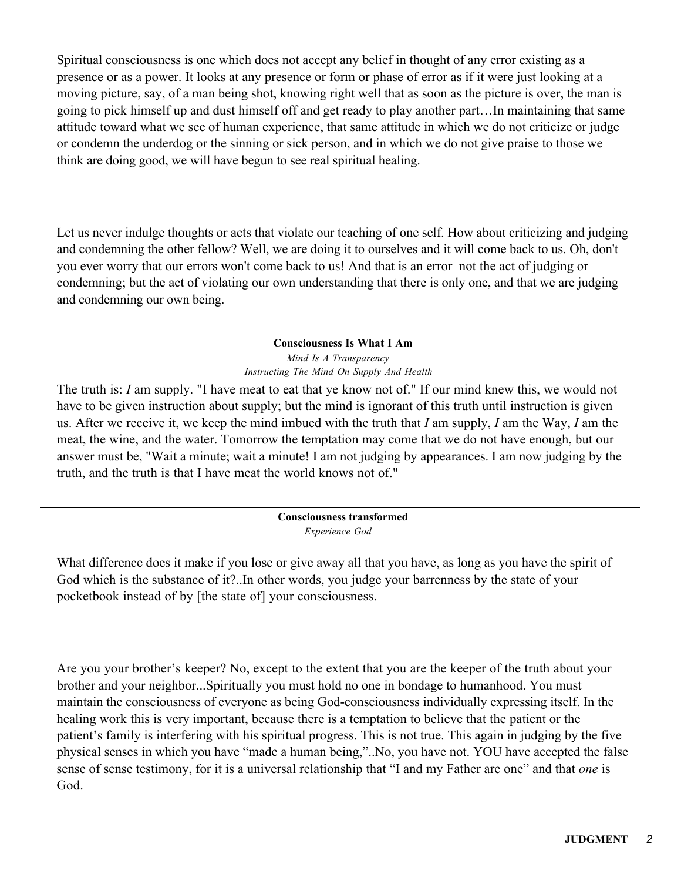Spiritual consciousness is one which does not accept any belief in thought of any error existing as a presence or as a power. It looks at any presence or form or phase of error as if it were just looking at a moving picture, say, of a man being shot, knowing right well that as soon as the picture is over, the man is going to pick himself up and dust himself off and get ready to play another part…In maintaining that same attitude toward what we see of human experience, that same attitude in which we do not criticize or judge or condemn the underdog or the sinning or sick person, and in which we do not give praise to those we think are doing good, we will have begun to see real spiritual healing.

Let us never indulge thoughts or acts that violate our teaching of one self. How about criticizing and judging and condemning the other fellow? Well, we are doing it to ourselves and it will come back to us. Oh, don't you ever worry that our errors won't come back to us! And that is an error–not the act of judging or condemning; but the act of violating our own understanding that there is only one, and that we are judging and condemning our own being.

> **Consciousness Is What I Am** *Mind Is A Transparency Instructing The Mind On Supply And Health*

The truth is: *I* am supply. "I have meat to eat that ye know not of." If our mind knew this, we would not have to be given instruction about supply; but the mind is ignorant of this truth until instruction is given us. After we receive it, we keep the mind imbued with the truth that *I* am supply, *I* am the Way, *I* am the meat, the wine, and the water. Tomorrow the temptation may come that we do not have enough, but our answer must be, "Wait a minute; wait a minute! I am not judging by appearances. I am now judging by the truth, and the truth is that I have meat the world knows not of."

> **Consciousness transformed** *Experience God*

What difference does it make if you lose or give away all that you have, as long as you have the spirit of God which is the substance of it?..In other words, you judge your barrenness by the state of your pocketbook instead of by [the state of] your consciousness.

Are you your brother's keeper? No, except to the extent that you are the keeper of the truth about your brother and your neighbor...Spiritually you must hold no one in bondage to humanhood. You must maintain the consciousness of everyone as being God-consciousness individually expressing itself. In the healing work this is very important, because there is a temptation to believe that the patient or the patient's family is interfering with his spiritual progress. This is not true. This again in judging by the five physical senses in which you have "made a human being,"..No, you have not. YOU have accepted the false sense of sense testimony, for it is a universal relationship that "I and my Father are one" and that *one* is God.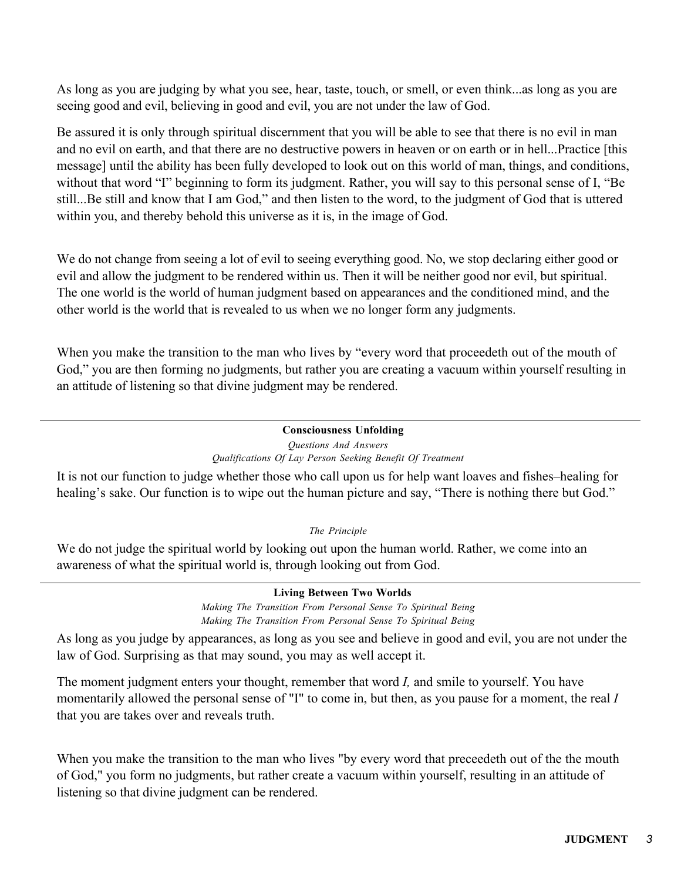As long as you are judging by what you see, hear, taste, touch, or smell, or even think...as long as you are seeing good and evil, believing in good and evil, you are not under the law of God.

Be assured it is only through spiritual discernment that you will be able to see that there is no evil in man and no evil on earth, and that there are no destructive powers in heaven or on earth or in hell...Practice [this message] until the ability has been fully developed to look out on this world of man, things, and conditions, without that word "I" beginning to form its judgment. Rather, you will say to this personal sense of I, "Be still...Be still and know that I am God," and then listen to the word, to the judgment of God that is uttered within you, and thereby behold this universe as it is, in the image of God.

We do not change from seeing a lot of evil to seeing everything good. No, we stop declaring either good or evil and allow the judgment to be rendered within us. Then it will be neither good nor evil, but spiritual. The one world is the world of human judgment based on appearances and the conditioned mind, and the other world is the world that is revealed to us when we no longer form any judgments.

When you make the transition to the man who lives by "every word that proceedeth out of the mouth of God," you are then forming no judgments, but rather you are creating a vacuum within yourself resulting in an attitude of listening so that divine judgment may be rendered.

## **Consciousness Unfolding**

*Questions And Answers Qualifications Of Lay Person Seeking Benefit Of Treatment*

It is not our function to judge whether those who call upon us for help want loaves and fishes–healing for healing's sake. Our function is to wipe out the human picture and say, "There is nothing there but God."

*The Principle*

We do not judge the spiritual world by looking out upon the human world. Rather, we come into an awareness of what the spiritual world is, through looking out from God.

> **Living Between Two Worlds** *Making The Transition From Personal Sense To Spiritual Being*

*Making The Transition From Personal Sense To Spiritual Being* As long as you judge by appearances, as long as you see and believe in good and evil, you are not under the

law of God. Surprising as that may sound, you may as well accept it.

The moment judgment enters your thought, remember that word *I,* and smile to yourself. You have momentarily allowed the personal sense of "I" to come in, but then, as you pause for a moment, the real *I* that you are takes over and reveals truth.

When you make the transition to the man who lives "by every word that preceedeth out of the the mouth of God," you form no judgments, but rather create a vacuum within yourself, resulting in an attitude of listening so that divine judgment can be rendered.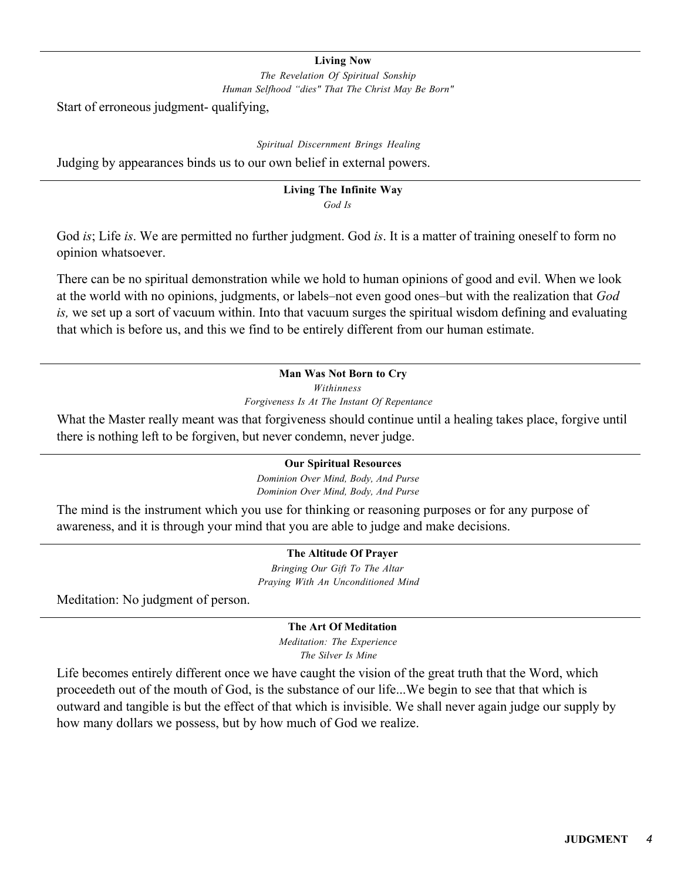#### **Living Now**

*The Revelation Of Spiritual Sonship Human Selfhood "dies" That The Christ May Be Born"*

Start of erroneous judgment- qualifying,

*Spiritual Discernment Brings Healing*

Judging by appearances binds us to our own belief in external powers.

#### **Living The Infinite Way** *God Is*

God *is*; Life *is*. We are permitted no further judgment. God *is*. It is a matter of training oneself to form no opinion whatsoever.

There can be no spiritual demonstration while we hold to human opinions of good and evil. When we look at the world with no opinions, judgments, or labels–not even good ones–but with the realization that *God is,* we set up a sort of vacuum within. Into that vacuum surges the spiritual wisdom defining and evaluating that which is before us, and this we find to be entirely different from our human estimate.

# **Man Was Not Born to Cry** *Withinness*

*Forgiveness Is At The Instant Of Repentance*

What the Master really meant was that forgiveness should continue until a healing takes place, forgive until there is nothing left to be forgiven, but never condemn, never judge.

## **Our Spiritual Resources**

*Dominion Over Mind, Body, And Purse Dominion Over Mind, Body, And Purse*

The mind is the instrument which you use for thinking or reasoning purposes or for any purpose of awareness, and it is through your mind that you are able to judge and make decisions.

## **The Altitude Of Prayer**

*Bringing Our Gift To The Altar Praying With An Unconditioned Mind*

Meditation: No judgment of person.

## **The Art Of Meditation**

*Meditation: The Experience The Silver Is Mine*

Life becomes entirely different once we have caught the vision of the great truth that the Word, which proceedeth out of the mouth of God, is the substance of our life...We begin to see that that which is outward and tangible is but the effect of that which is invisible. We shall never again judge our supply by how many dollars we possess, but by how much of God we realize.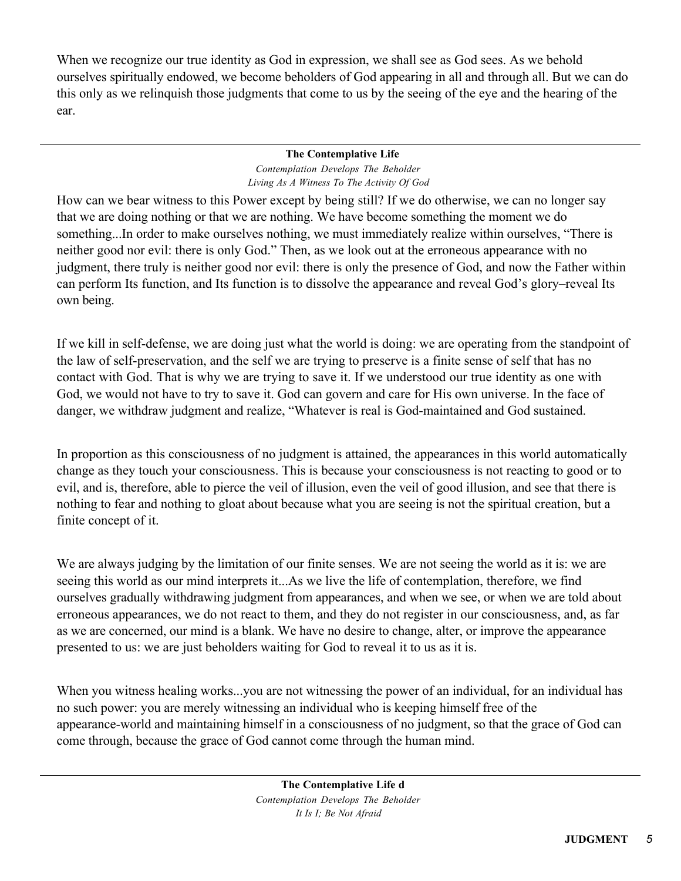When we recognize our true identity as God in expression, we shall see as God sees. As we behold ourselves spiritually endowed, we become beholders of God appearing in all and through all. But we can do this only as we relinquish those judgments that come to us by the seeing of the eye and the hearing of the ear.

#### **The Contemplative Life** *Contemplation Develops The Beholder Living As A Witness To The Activity Of God*

How can we bear witness to this Power except by being still? If we do otherwise, we can no longer say that we are doing nothing or that we are nothing. We have become something the moment we do something...In order to make ourselves nothing, we must immediately realize within ourselves, "There is neither good nor evil: there is only God." Then, as we look out at the erroneous appearance with no judgment, there truly is neither good nor evil: there is only the presence of God, and now the Father within can perform Its function, and Its function is to dissolve the appearance and reveal God's glory–reveal Its own being.

If we kill in self-defense, we are doing just what the world is doing: we are operating from the standpoint of the law of self-preservation, and the self we are trying to preserve is a finite sense of self that has no contact with God. That is why we are trying to save it. If we understood our true identity as one with God, we would not have to try to save it. God can govern and care for His own universe. In the face of danger, we withdraw judgment and realize, "Whatever is real is God-maintained and God sustained.

In proportion as this consciousness of no judgment is attained, the appearances in this world automatically change as they touch your consciousness. This is because your consciousness is not reacting to good or to evil, and is, therefore, able to pierce the veil of illusion, even the veil of good illusion, and see that there is nothing to fear and nothing to gloat about because what you are seeing is not the spiritual creation, but a finite concept of it.

We are always judging by the limitation of our finite senses. We are not seeing the world as it is: we are seeing this world as our mind interprets it...As we live the life of contemplation, therefore, we find ourselves gradually withdrawing judgment from appearances, and when we see, or when we are told about erroneous appearances, we do not react to them, and they do not register in our consciousness, and, as far as we are concerned, our mind is a blank. We have no desire to change, alter, or improve the appearance presented to us: we are just beholders waiting for God to reveal it to us as it is.

When you witness healing works...you are not witnessing the power of an individual, for an individual has no such power: you are merely witnessing an individual who is keeping himself free of the appearance-world and maintaining himself in a consciousness of no judgment, so that the grace of God can come through, because the grace of God cannot come through the human mind.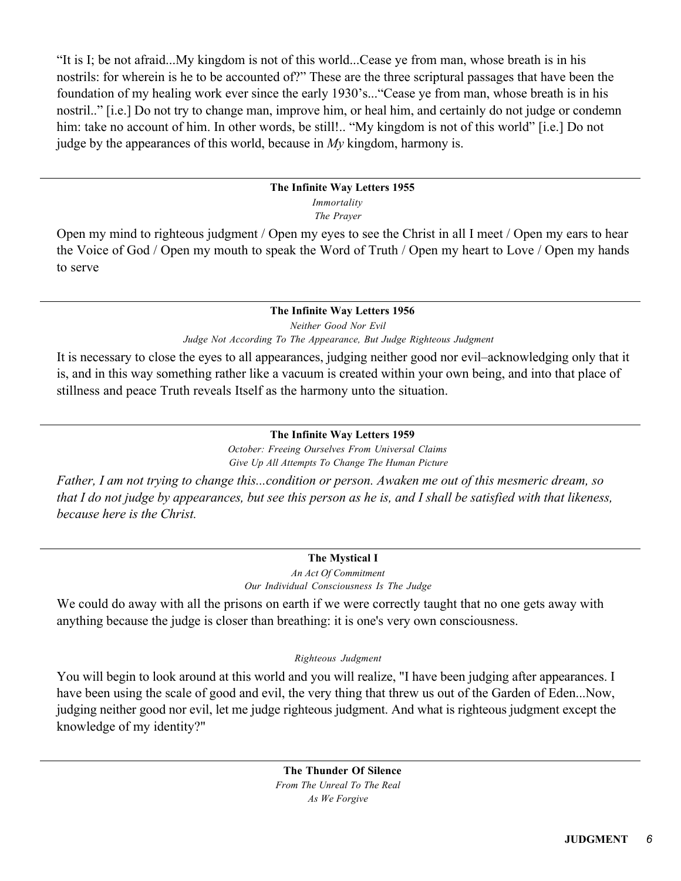"It is I; be not afraid...My kingdom is not of this world...Cease ye from man, whose breath is in his nostrils: for wherein is he to be accounted of?" These are the three scriptural passages that have been the foundation of my healing work ever since the early 1930's..."Cease ye from man, whose breath is in his nostril.." [i.e.] Do not try to change man, improve him, or heal him, and certainly do not judge or condemn him: take no account of him. In other words, be still!.. "My kingdom is not of this world" [i.e.] Do not judge by the appearances of this world, because in *My* kingdom, harmony is.

## **The Infinite Way Letters 1955** *Immortality*

*The Prayer*

Open my mind to righteous judgment / Open my eyes to see the Christ in all I meet / Open my ears to hear the Voice of God / Open my mouth to speak the Word of Truth / Open my heart to Love / Open my hands to serve

# **The Infinite Way Letters 1956** *Neither Good Nor Evil Judge Not According To The Appearance, But Judge Righteous Judgment*

It is necessary to close the eyes to all appearances, judging neither good nor evil–acknowledging only that it is, and in this way something rather like a vacuum is created within your own being, and into that place of stillness and peace Truth reveals Itself as the harmony unto the situation.

# **The Infinite Way Letters 1959**

*October: Freeing Ourselves From Universal Claims Give Up All Attempts To Change The Human Picture*

*Father, I am not trying to change this...condition or person. Awaken me out of this mesmeric dream, so that I do not judge by appearances, but see this person as he is, and I shall be satisfied with that likeness, because here is the Christ.*

# **The Mystical I**

*An Act Of Commitment Our Individual Consciousness Is The Judge*

We could do away with all the prisons on earth if we were correctly taught that no one gets away with anything because the judge is closer than breathing: it is one's very own consciousness.

# *Righteous Judgment*

You will begin to look around at this world and you will realize, "I have been judging after appearances. I have been using the scale of good and evil, the very thing that threw us out of the Garden of Eden...Now, judging neither good nor evil, let me judge righteous judgment. And what is righteous judgment except the knowledge of my identity?"

> **The Thunder Of Silence** *From The Unreal To The Real As We Forgive*